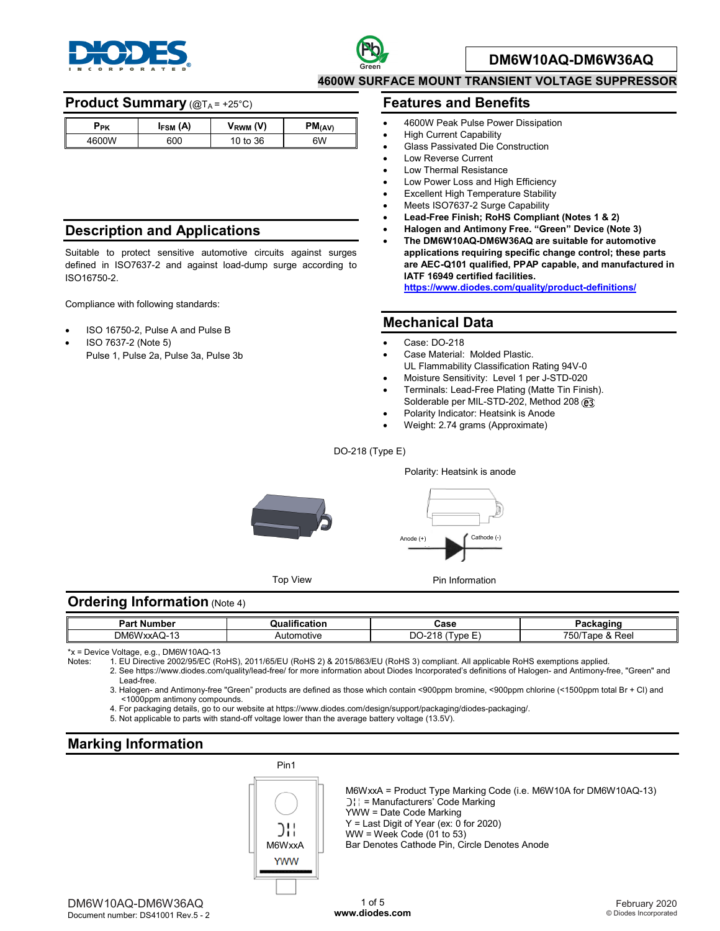



#### **DM6W10AQ-DM6W36AQ**

**4600W SURFACE MOUNT TRANSIENT VOLTAGE SUPPRESSOR**

#### **Product Summary** (@TA = +25°C)

| Ррк   | I <sub>FSM</sub> (A) | $V_{RWM} (V)$ | $PM$ (AV) |
|-------|----------------------|---------------|-----------|
| 4600W | 600                  | 10 to 36      | 6W        |

## **Description and Applications**

Suitable to protect sensitive automotive circuits against surges defined in ISO7637-2 and against load-dump surge according to ISO16750-2.

Compliance with following standards:

- ISO 16750-2, Pulse A and Pulse B
- ISO 7637-2 (Note 5) Pulse 1, Pulse 2a, Pulse 3a, Pulse 3b

#### **Features and Benefits**

- 4600W Peak Pulse Power Dissipation
- **High Current Capability**
- Glass Passivated Die Construction
- Low Reverse Current
- Low Thermal Resistance
- Low Power Loss and High Efficiency
- **Excellent High Temperature Stability**
- Meets ISO7637-2 Surge Capability
- **Lead-Free Finish; RoHS Compliant (Notes 1 & 2)**
- **Halogen and Antimony Free. "Green" Device (Note 3)**
- **The DM6W10AQ-DM6W36AQ are suitable for automotive applications requiring specific change control; these parts are AEC-Q101 qualified, PPAP capable, and manufactured in IATF 16949 certified facilities. [https://www.diodes.com/quality/product-definitions/](https://www.diodes.com/quality/product-compliance-definitions/)**

#### **Mechanical Data**

- Case: DO-218
- Case Material: Molded Plastic.
- UL Flammability Classification Rating 94V-0
- Moisture Sensitivity: Level 1 per J-STD-020 • Terminals: Lead-Free Plating (Matte Tin Finish). Solderable per MIL-STD-202, Method 208 (e3)
- Polarity Indicator: Heatsink is Anode
- Weight: 2.74 grams (Approximate)
- DO-218 (Type E)



#### **Ordering Information** (Note 4)

| Par.<br>. Number | ---<br>ication<br>alit" | Case                                            | $\sim$ $\sim$<br>-aundulllu                 |
|------------------|-------------------------|-------------------------------------------------|---------------------------------------------|
| DM6V<br>/xxAQ-13 | Automotive              | $\overline{\phantom{a}}$<br>DO<br>240<br>VDE L. | -<br>700<br>c<br>& Ree<br>$\sim$<br>5U<br>. |

\*x = Device Voltage, e.g., DM6W10AQ-13

Notes: 1. EU Directive 2002/95/EC (RoHS), 2011/65/EU (RoHS 2) & 2015/863/EU (RoHS 3) compliant. All applicable RoHS exemptions applied.

- 2. See [https://www.diodes.com/quality/lead-free/ fo](https://www.diodes.com/quality/lead-free/)r more information about Diodes Incorporated's definitions of Halogen- and Antimony-free, "Green" and Lead-free.
	- 3. Halogen- and Antimony-free "Green" products are defined as those which contain <900ppm bromine, <900ppm chlorine (<1500ppm total Br + Cl) and <1000ppm antimony compounds.
	- 4. For packaging details, go to our website at [https://www.diodes.com/design/support/packaging/diodes-packaging/.](https://www.diodes.com/design/support/packaging/diodes-packaging/)
	- 5. Not applicable to parts with stand-off voltage lower than the average battery voltage (13.5V).

# **Marking Information**



M6WxxA = Product Type Marking Code (i.e. M6W10A for DM6W10AQ-13) ) | = Manufacturers' Code Marking YWW = Date Code Marking  $Y =$  Last Digit of Year (ex:  $\overline{0}$  for 2020) WW = Week Code (01 to 53) Bar Denotes Cathode Pin, Circle Denotes Anode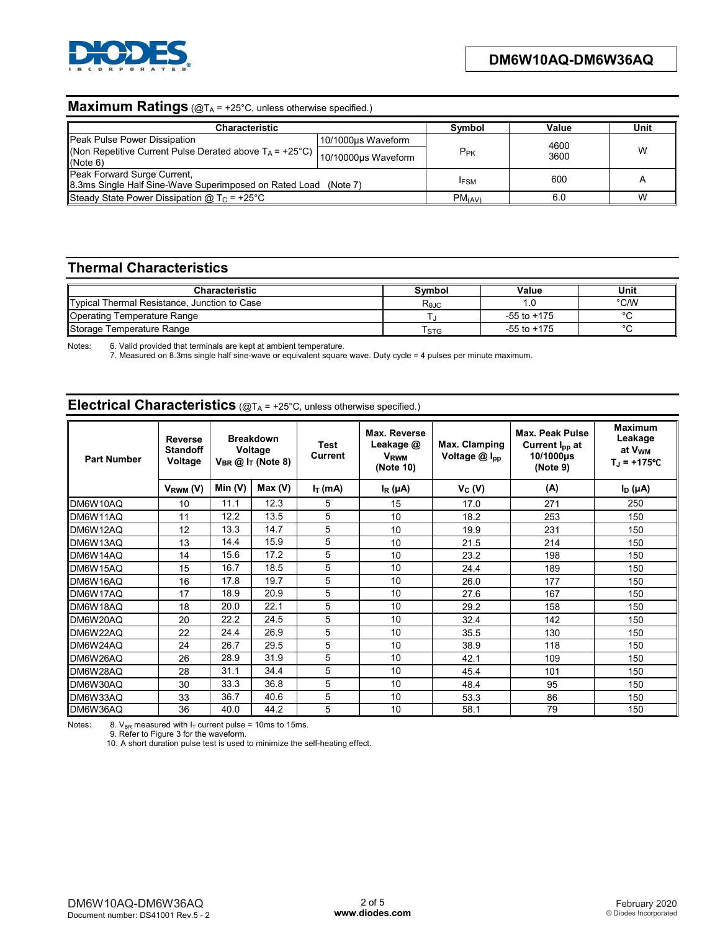

#### **Maximum Ratings** (@T<sub>A</sub> = +25°C, unless otherwise specified.)

| <b>Characteristic</b>                                                                                    | Symbol               | Value           | Unit         |   |
|----------------------------------------------------------------------------------------------------------|----------------------|-----------------|--------------|---|
| Peak Pulse Power Dissipation                                                                             | 10/1000us Waveform   | P <sub>PK</sub> | 4600<br>3600 | W |
| Non Repetitive Current Pulse Derated above $T_A = +25^{\circ}C$ ) $ 10/10000 \mu s$ Waveform<br>(Note 6) |                      |                 |              |   |
| Peak Forward Surge Current,<br>8.3ms Single Half Sine-Wave Superimposed on Rated Load (Note 7)           |                      | <b>IFSM</b>     | 600          |   |
| Steady State Power Dissipation @ $T_c$ = +25°C                                                           | $PM$ <sub>(AV)</sub> | 6.0             | W            |   |

## **Thermal Characteristics**

| <b>Characteristic</b>                        | Svmbol           | Value           | Unit    |
|----------------------------------------------|------------------|-----------------|---------|
| Typical Thermal Resistance, Junction to Case | $R_{\theta$ JC   |                 | °C∕W    |
| Operating Temperature Range                  |                  | $-55$ to $+175$ | $\sim$  |
| Storage Temperature Range                    | T <sub>STG</sub> | $-55$ to $+175$ | $\circ$ |

Notes: 6. Valid provided that terminals are kept at ambient temperature.

7. Measured on 8.3ms single half sine-wave or equivalent square wave. Duty cycle = 4 pulses per minute maximum.

# **Electrical Characteristics** (@TA = +25°C, unless otherwise specified.)

| <b>Part Number</b> | <b>Reverse</b><br><b>Standoff</b><br>Voltage |           | <b>Breakdown</b><br>Voltage<br>$V_{BR}$ @ $IT$ (Note 8) | <b>Test</b><br>Current | Max. Reverse<br>Leakage @<br><b>V</b> <sub>RWM</sub><br>(Note 10) | Max. Clamping<br>Voltage @ Ipp | <b>Max. Peak Pulse</b><br>Current I <sub>pp</sub> at<br>10/1000µs<br>(Note 9) | <b>Maximum</b><br>Leakage<br>at V <sub>wm</sub><br>$T_{J}$ = +175°C |
|--------------------|----------------------------------------------|-----------|---------------------------------------------------------|------------------------|-------------------------------------------------------------------|--------------------------------|-------------------------------------------------------------------------------|---------------------------------------------------------------------|
|                    | $V_{RWM} (V)$                                | Min $(V)$ | Max(V)                                                  | $I_T$ (mA)             | $I_R(\mu A)$                                                      | $V_C(V)$                       | (A)                                                                           | $I_D(\mu A)$                                                        |
| DM6W10AQ           | 10                                           | 11.1      | 12.3                                                    | 5                      | 15                                                                | 17.0                           | 271                                                                           | 250                                                                 |
| DM6W11AQ           | 11                                           | 12.2      | 13.5                                                    | 5                      | 10                                                                | 18.2                           | 253                                                                           | 150                                                                 |
| DM6W12AQ           | 12                                           | 13.3      | 14.7                                                    | 5                      | 10                                                                | 19.9                           | 231                                                                           | 150                                                                 |
| DM6W13AQ           | 13                                           | 14.4      | 15.9                                                    | 5                      | 10                                                                | 21.5                           | 214                                                                           | 150                                                                 |
| DM6W14AQ           | 14                                           | 15.6      | 17.2                                                    | 5                      | 10                                                                | 23.2                           | 198                                                                           | 150                                                                 |
| DM6W15AQ           | 15                                           | 16.7      | 18.5                                                    | 5                      | 10                                                                | 24.4                           | 189                                                                           | 150                                                                 |
| DM6W16AQ           | 16                                           | 17.8      | 19.7                                                    | 5                      | 10                                                                | 26.0                           | 177                                                                           | 150                                                                 |
| DM6W17AQ           | 17                                           | 18.9      | 20.9                                                    | 5                      | 10                                                                | 27.6                           | 167                                                                           | 150                                                                 |
| DM6W18AQ           | 18                                           | 20.0      | 22.1                                                    | 5                      | 10                                                                | 29.2                           | 158                                                                           | 150                                                                 |
| DM6W20AQ           | 20                                           | 22.2      | 24.5                                                    | 5                      | 10                                                                | 32.4                           | 142                                                                           | 150                                                                 |
| DM6W22AQ           | 22                                           | 24.4      | 26.9                                                    | 5                      | 10                                                                | 35.5                           | 130                                                                           | 150                                                                 |
| DM6W24AQ           | 24                                           | 26.7      | 29.5                                                    | 5                      | 10                                                                | 38.9                           | 118                                                                           | 150                                                                 |
| DM6W26AQ           | 26                                           | 28.9      | 31.9                                                    | 5                      | 10                                                                | 42.1                           | 109                                                                           | 150                                                                 |
| DM6W28AQ           | 28                                           | 31.1      | 34.4                                                    | 5                      | 10                                                                | 45.4                           | 101                                                                           | 150                                                                 |
| DM6W30AQ           | 30                                           | 33.3      | 36.8                                                    | 5                      | 10                                                                | 48.4                           | 95                                                                            | 150                                                                 |
| DM6W33AQ           | 33                                           | 36.7      | 40.6                                                    | 5                      | 10                                                                | 53.3                           | 86                                                                            | 150                                                                 |
| DM6W36AQ           | 36                                           | 40.0      | 44.2                                                    | 5                      | 10                                                                | 58.1                           | 79                                                                            | 150                                                                 |

Notes: 8. V<sub>BR</sub> measured with  $I_T$  current pulse = 10ms to 15ms.<br>9. Refer to Figure 3 for the waveform.

10. A short duration pulse test is used to minimize the self-heating effect.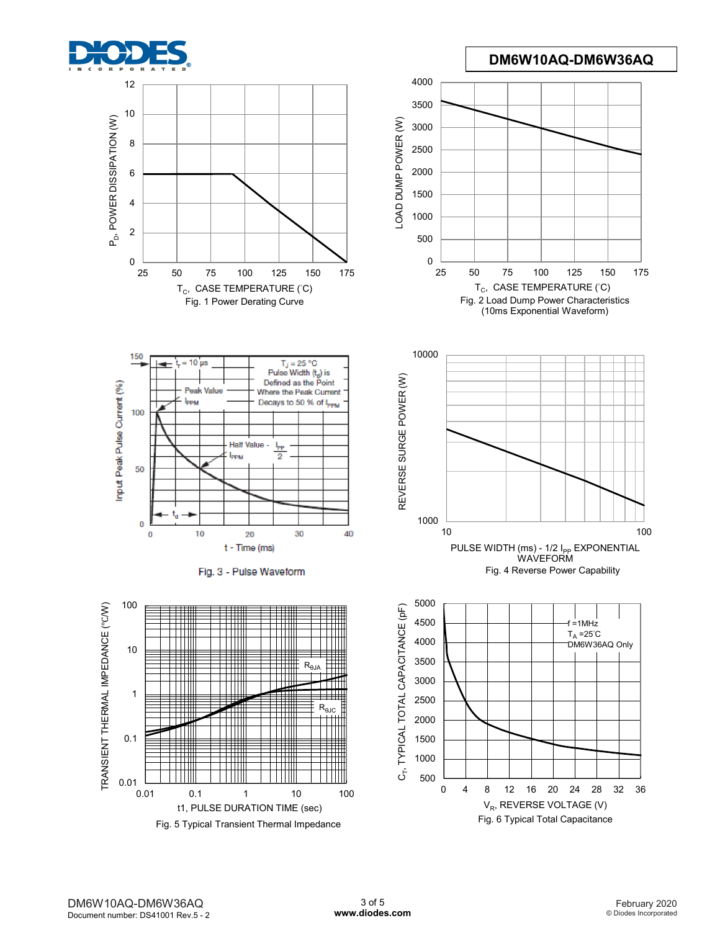

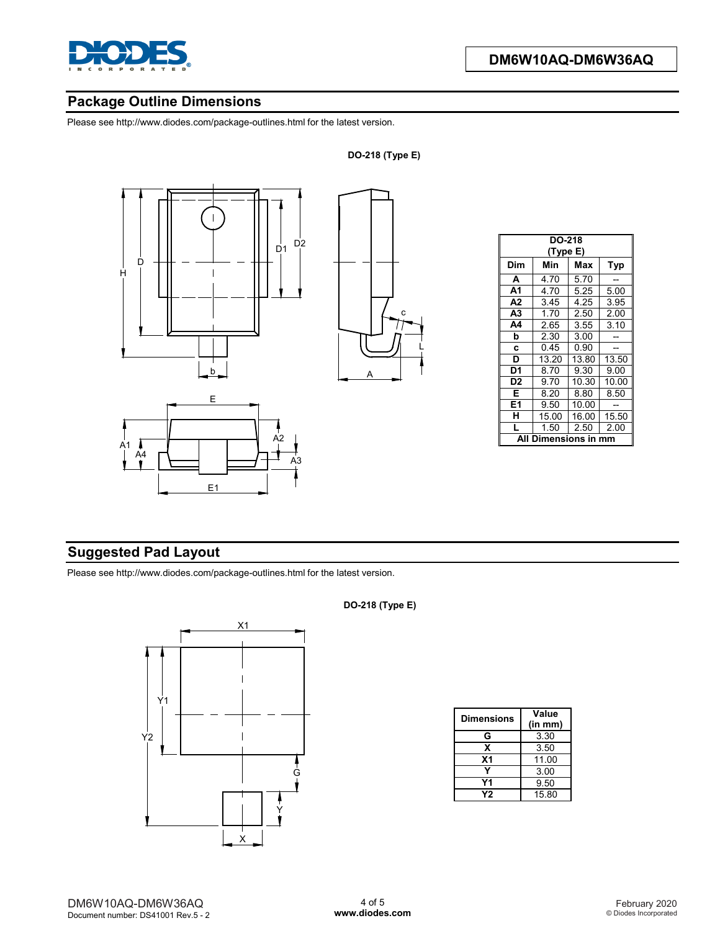

# **Package Outline Dimensions**

Please see <http://www.diodes.com/package-outlines.html> for the latest version.



| <b>DO-218</b><br>(Type E) |       |       |       |  |  |
|---------------------------|-------|-------|-------|--|--|
| Dim                       | Min   | Max   | Typ   |  |  |
| A                         | 4.70  | 5.70  |       |  |  |
| A <sub>1</sub>            | 4.70  | 5.25  | 5.00  |  |  |
| A2                        | 3.45  | 4.25  | 3.95  |  |  |
| A <sub>3</sub>            | 1.70  | 2.50  | 2.00  |  |  |
| A4                        | 2.65  | 3.55  | 3.10  |  |  |
| b                         | 2.30  | 3.00  |       |  |  |
| C                         | 0.45  | 0.90  |       |  |  |
| D                         | 13.20 | 13.80 | 13.50 |  |  |
| D1                        | 8.70  | 9.30  | 9.00  |  |  |
| D <sub>2</sub>            | 9.70  | 10.30 | 10.00 |  |  |
| Е                         | 8.20  | 8.80  | 8.50  |  |  |
| E1                        | 9.50  | 10.00 |       |  |  |
| н                         | 15.00 | 16.00 | 15.50 |  |  |
| L                         | 1.50  | 2.50  | 2.00  |  |  |
| Dimensions in<br>Δ        |       |       |       |  |  |

# **Suggested Pad Layout**

Please see <http://www.diodes.com/package-outlines.html> for the latest version.



#### **DO-218 (Type E)**

| <b>Dimensions</b> | Value   |  |  |
|-------------------|---------|--|--|
|                   | (in mm) |  |  |
| G                 | 3.30    |  |  |
| x                 | 3.50    |  |  |
| X <sub>1</sub>    | 11.00   |  |  |
|                   | 3.00    |  |  |
| Υ1                | 9.50    |  |  |
| Υ2                | 15.80   |  |  |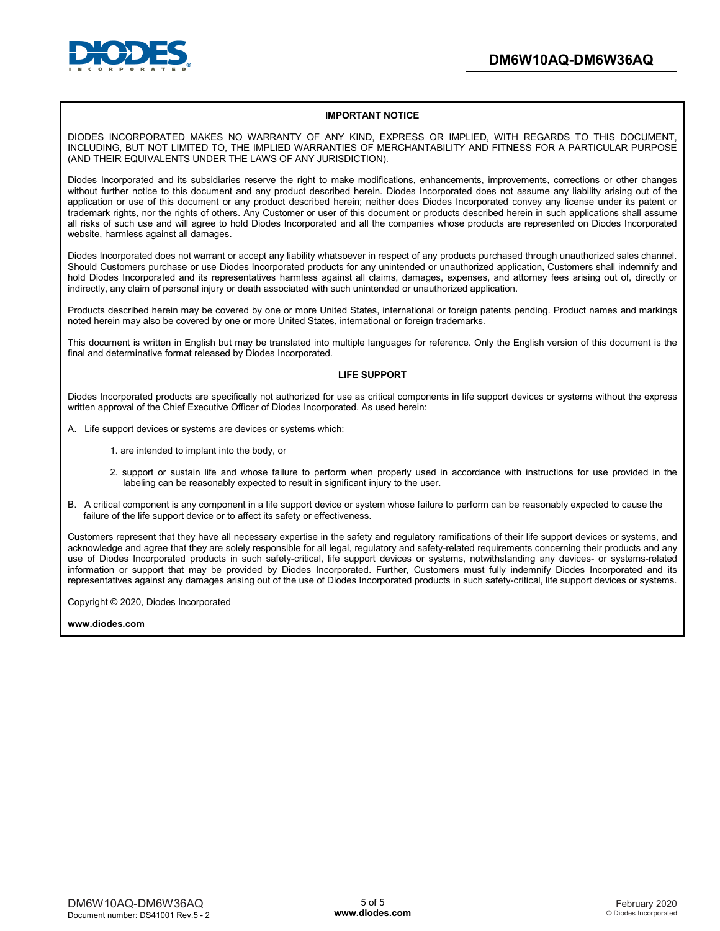

#### **IMPORTANT NOTICE**

DIODES INCORPORATED MAKES NO WARRANTY OF ANY KIND, EXPRESS OR IMPLIED, WITH REGARDS TO THIS DOCUMENT, INCLUDING, BUT NOT LIMITED TO, THE IMPLIED WARRANTIES OF MERCHANTABILITY AND FITNESS FOR A PARTICULAR PURPOSE (AND THEIR EQUIVALENTS UNDER THE LAWS OF ANY JURISDICTION).

Diodes Incorporated and its subsidiaries reserve the right to make modifications, enhancements, improvements, corrections or other changes without further notice to this document and any product described herein. Diodes Incorporated does not assume any liability arising out of the application or use of this document or any product described herein; neither does Diodes Incorporated convey any license under its patent or trademark rights, nor the rights of others. Any Customer or user of this document or products described herein in such applications shall assume all risks of such use and will agree to hold Diodes Incorporated and all the companies whose products are represented on Diodes Incorporated website, harmless against all damages.

Diodes Incorporated does not warrant or accept any liability whatsoever in respect of any products purchased through unauthorized sales channel. Should Customers purchase or use Diodes Incorporated products for any unintended or unauthorized application, Customers shall indemnify and hold Diodes Incorporated and its representatives harmless against all claims, damages, expenses, and attorney fees arising out of, directly or indirectly, any claim of personal injury or death associated with such unintended or unauthorized application.

Products described herein may be covered by one or more United States, international or foreign patents pending. Product names and markings noted herein may also be covered by one or more United States, international or foreign trademarks.

This document is written in English but may be translated into multiple languages for reference. Only the English version of this document is the final and determinative format released by Diodes Incorporated.

#### **LIFE SUPPORT**

Diodes Incorporated products are specifically not authorized for use as critical components in life support devices or systems without the express written approval of the Chief Executive Officer of Diodes Incorporated. As used herein:

- A. Life support devices or systems are devices or systems which:
	- 1. are intended to implant into the body, or
	- 2. support or sustain life and whose failure to perform when properly used in accordance with instructions for use provided in the labeling can be reasonably expected to result in significant injury to the user.
- B. A critical component is any component in a life support device or system whose failure to perform can be reasonably expected to cause the failure of the life support device or to affect its safety or effectiveness.

Customers represent that they have all necessary expertise in the safety and regulatory ramifications of their life support devices or systems, and acknowledge and agree that they are solely responsible for all legal, regulatory and safety-related requirements concerning their products and any use of Diodes Incorporated products in such safety-critical, life support devices or systems, notwithstanding any devices- or systems-related information or support that may be provided by Diodes Incorporated. Further, Customers must fully indemnify Diodes Incorporated and its representatives against any damages arising out of the use of Diodes Incorporated products in such safety-critical, life support devices or systems.

Copyright © 2020, Diodes Incorporated

**[www.diodes.com](http://www.diodes.com)**